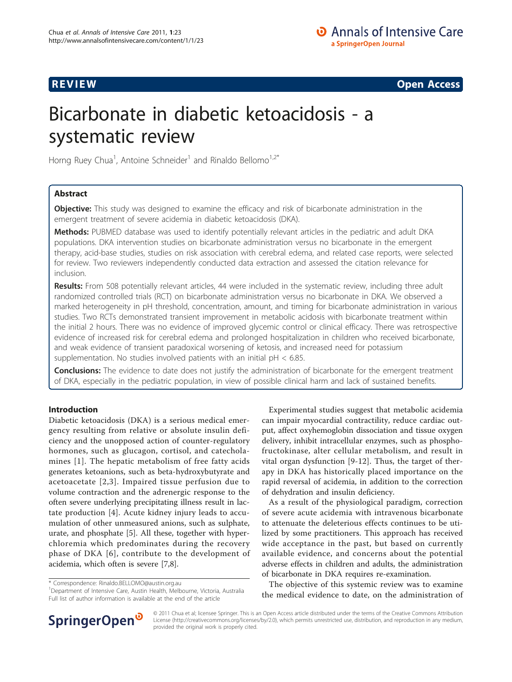**REVIEW REVIEW CONSTRUCTER CONSTRUCTION** 

# Bicarbonate in diabetic ketoacidosis - a systematic review

Horng Ruey Chua<sup>1</sup>, Antoine Schneider<sup>1</sup> and Rinaldo Bellomo<sup>1,2\*</sup>

# Abstract

**Objective:** This study was designed to examine the efficacy and risk of bicarbonate administration in the emergent treatment of severe acidemia in diabetic ketoacidosis (DKA).

Methods: PUBMED database was used to identify potentially relevant articles in the pediatric and adult DKA populations. DKA intervention studies on bicarbonate administration versus no bicarbonate in the emergent therapy, acid-base studies, studies on risk association with cerebral edema, and related case reports, were selected for review. Two reviewers independently conducted data extraction and assessed the citation relevance for inclusion.

Results: From 508 potentially relevant articles, 44 were included in the systematic review, including three adult randomized controlled trials (RCT) on bicarbonate administration versus no bicarbonate in DKA. We observed a marked heterogeneity in pH threshold, concentration, amount, and timing for bicarbonate administration in various studies. Two RCTs demonstrated transient improvement in metabolic acidosis with bicarbonate treatment within the initial 2 hours. There was no evidence of improved glycemic control or clinical efficacy. There was retrospective evidence of increased risk for cerebral edema and prolonged hospitalization in children who received bicarbonate, and weak evidence of transient paradoxical worsening of ketosis, and increased need for potassium supplementation. No studies involved patients with an initial pH < 6.85.

**Conclusions:** The evidence to date does not justify the administration of bicarbonate for the emergent treatment of DKA, especially in the pediatric population, in view of possible clinical harm and lack of sustained benefits.

# Introduction

Diabetic ketoacidosis (DKA) is a serious medical emergency resulting from relative or absolute insulin deficiency and the unopposed action of counter-regulatory hormones, such as glucagon, cortisol, and catecholamines [[1\]](#page-10-0). The hepatic metabolism of free fatty acids generates ketoanions, such as beta-hydroxybutyrate and acetoacetate [[2](#page-10-0),[3](#page-10-0)]. Impaired tissue perfusion due to volume contraction and the adrenergic response to the often severe underlying precipitating illness result in lactate production [\[4](#page-10-0)]. Acute kidney injury leads to accumulation of other unmeasured anions, such as sulphate, urate, and phosphate [[5\]](#page-10-0). All these, together with hyperchloremia which predominates during the recovery phase of DKA [[6](#page-11-0)], contribute to the development of acidemia, which often is severe [[7](#page-11-0),[8\]](#page-11-0).

\* Correspondence: [Rinaldo.BELLOMO@austin.org.au](mailto:Rinaldo.BELLOMO@austin.org.au)

<sup>1</sup>Department of Intensive Care, Austin Health, Melbourne, Victoria, Australia Full list of author information is available at the end of the article



As a result of the physiological paradigm, correction of severe acute acidemia with intravenous bicarbonate to attenuate the deleterious effects continues to be utilized by some practitioners. This approach has received wide acceptance in the past, but based on currently available evidence, and concerns about the potential adverse effects in children and adults, the administration of bicarbonate in DKA requires re-examination.

The objective of this systemic review was to examine the medical evidence to date, on the administration of



© 2011 Chua et al; licensee Springer. This is an Open Access article distributed under the terms of the Creative Commons Attribution License [\(http://creativecommons.org/licenses/by/2.0](http://creativecommons.org/licenses/by/2.0)), which permits unrestricted use, distribution, and reproduction in any medium, provided the original work is properly cited.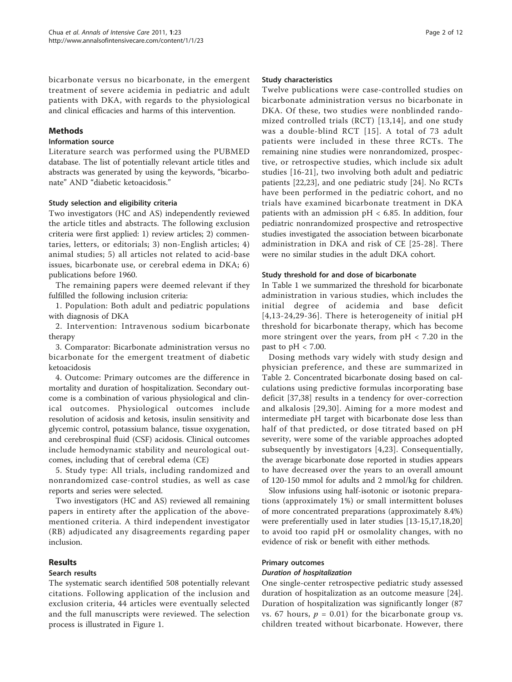bicarbonate versus no bicarbonate, in the emergent treatment of severe acidemia in pediatric and adult patients with DKA, with regards to the physiological and clinical efficacies and harms of this intervention.

# Methods

# Information source

Literature search was performed using the PUBMED database. The list of potentially relevant article titles and abstracts was generated by using the keywords, "bicarbonate" AND "diabetic ketoacidosis."

# Study selection and eligibility criteria

Two investigators (HC and AS) independently reviewed the article titles and abstracts. The following exclusion criteria were first applied: 1) review articles; 2) commentaries, letters, or editorials; 3) non-English articles; 4) animal studies; 5) all articles not related to acid-base issues, bicarbonate use, or cerebral edema in DKA; 6) publications before 1960.

The remaining papers were deemed relevant if they fulfilled the following inclusion criteria:

1. Population: Both adult and pediatric populations with diagnosis of DKA

2. Intervention: Intravenous sodium bicarbonate therapy

3. Comparator: Bicarbonate administration versus no bicarbonate for the emergent treatment of diabetic ketoacidosis

4. Outcome: Primary outcomes are the difference in mortality and duration of hospitalization. Secondary outcome is a combination of various physiological and clinical outcomes. Physiological outcomes include resolution of acidosis and ketosis, insulin sensitivity and glycemic control, potassium balance, tissue oxygenation, and cerebrospinal fluid (CSF) acidosis. Clinical outcomes include hemodynamic stability and neurological outcomes, including that of cerebral edema (CE)

5. Study type: All trials, including randomized and nonrandomized case-control studies, as well as case reports and series were selected.

Two investigators (HC and AS) reviewed all remaining papers in entirety after the application of the abovementioned criteria. A third independent investigator (RB) adjudicated any disagreements regarding paper inclusion.

# Results

# Search results

The systematic search identified 508 potentially relevant citations. Following application of the inclusion and exclusion criteria, 44 articles were eventually selected and the full manuscripts were reviewed. The selection process is illustrated in Figure [1.](#page-2-0)

# Study characteristics

Twelve publications were case-controlled studies on bicarbonate administration versus no bicarbonate in DKA. Of these, two studies were nonblinded randomized controlled trials (RCT) [[13,14\]](#page-11-0), and one study was a double-blind RCT [[15\]](#page-11-0). A total of 73 adult patients were included in these three RCTs. The remaining nine studies were nonrandomized, prospective, or retrospective studies, which include six adult studies [[16-21\]](#page-11-0), two involving both adult and pediatric patients [[22,23](#page-11-0)], and one pediatric study [[24\]](#page-11-0). No RCTs have been performed in the pediatric cohort, and no trials have examined bicarbonate treatment in DKA patients with an admission  $pH < 6.85$ . In addition, four pediatric nonrandomized prospective and retrospective studies investigated the association between bicarbonate administration in DKA and risk of CE [[25-28\]](#page-11-0). There were no similar studies in the adult DKA cohort.

# Study threshold for and dose of bicarbonate

In Table [1](#page-3-0) we summarized the threshold for bicarbonate administration in various studies, which includes the initial degree of acidemia and base deficit [[4,](#page-10-0)[13-24](#page-11-0),[29](#page-11-0)-[36\]](#page-11-0). There is heterogeneity of initial pH threshold for bicarbonate therapy, which has become more stringent over the years, from  $pH < 7.20$  in the past to  $pH < 7.00$ .

Dosing methods vary widely with study design and physician preference, and these are summarized in Table [2](#page-4-0). Concentrated bicarbonate dosing based on calculations using predictive formulas incorporating base deficit [\[37,38\]](#page-11-0) results in a tendency for over-correction and alkalosis [[29,30\]](#page-11-0). Aiming for a more modest and intermediate pH target with bicarbonate dose less than half of that predicted, or dose titrated based on pH severity, were some of the variable approaches adopted subsequently by investigators [[4,](#page-10-0)[23\]](#page-11-0). Consequentially, the average bicarbonate dose reported in studies appears to have decreased over the years to an overall amount of 120-150 mmol for adults and 2 mmol/kg for children.

Slow infusions using half-isotonic or isotonic preparations (approximately 1%) or small intermittent boluses of more concentrated preparations (approximately 8.4%) were preferentially used in later studies [[13-15,17,18](#page-11-0),[20](#page-11-0)] to avoid too rapid pH or osmolality changes, with no evidence of risk or benefit with either methods.

# Primary outcomes

# Duration of hospitalization

One single-center retrospective pediatric study assessed duration of hospitalization as an outcome measure [\[24](#page-11-0)]. Duration of hospitalization was significantly longer (87 vs. 67 hours,  $p = 0.01$  for the bicarbonate group vs. children treated without bicarbonate. However, there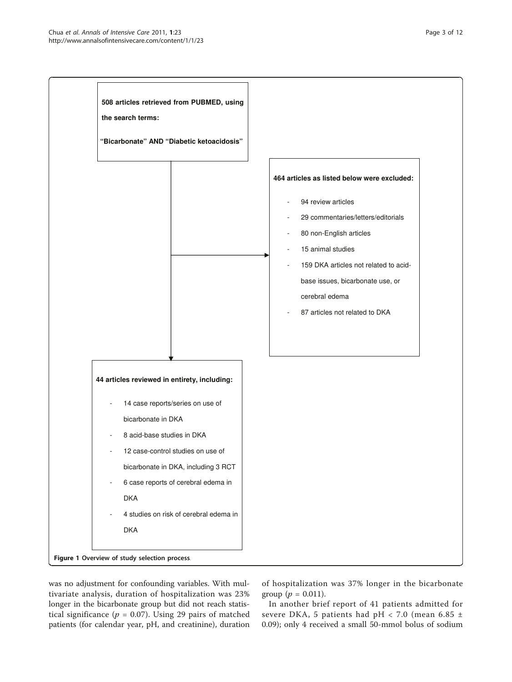<span id="page-2-0"></span>

was no adjustment for confounding variables. With multivariate analysis, duration of hospitalization was 23% longer in the bicarbonate group but did not reach statistical significance ( $p = 0.07$ ). Using 29 pairs of matched patients (for calendar year, pH, and creatinine), duration

of hospitalization was 37% longer in the bicarbonate group ( $p = 0.011$ ).

In another brief report of 41 patients admitted for severe DKA, 5 patients had pH < 7.0 (mean 6.85 ± 0.09); only 4 received a small 50-mmol bolus of sodium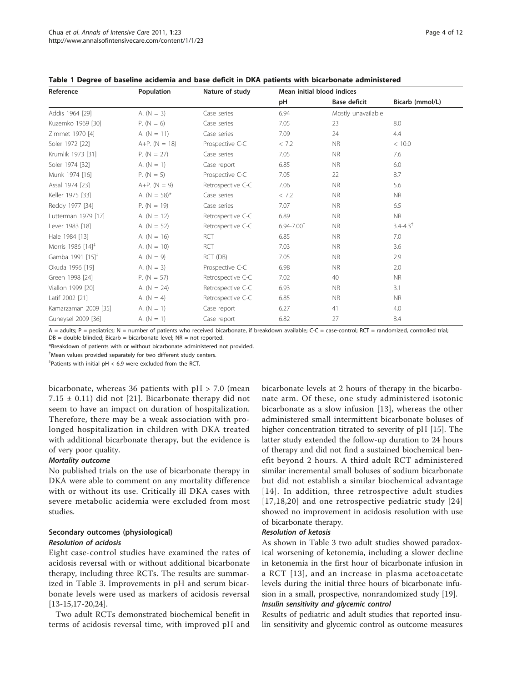| Reference                     | Population       | Nature of study   | Mean initial blood indices |                    |                          |  |
|-------------------------------|------------------|-------------------|----------------------------|--------------------|--------------------------|--|
|                               |                  |                   | рH                         | Base deficit       | Bicarb (mmol/L)          |  |
| Addis 1964 [29]               | A. $(N = 3)$     | Case series       | 6.94                       | Mostly unavailable |                          |  |
| Kuzemko 1969 [30]             | $P. (N = 6)$     | Case series       | 7.05                       | 23                 | 8.0                      |  |
| Zimmet 1970 [4]               | A. $(N = 11)$    | Case series       | 7.09                       | 24                 | 4.4                      |  |
| Soler 1972 [22]               | $A+P$ . (N = 18) | Prospective C-C   | < 7.2                      | <b>NR</b>          | < 10.0                   |  |
| Krumlik 1973 [31]             | $P. (N = 27)$    | Case series       | 7.05                       | NR.                | 7.6                      |  |
| Soler 1974 [32]               | A. $(N = 1)$     | Case report       | 6.85                       | <b>NR</b>          | 6.0                      |  |
| Munk 1974 [16]                | $P. (N = 5)$     | Prospective C-C   | 7.05                       | 22                 | 8.7                      |  |
| Assal 1974 [23]               | $A+P$ . (N = 9)  | Retrospective C-C | 7.06                       | NR.                | 5.6                      |  |
| Keller 1975 [33]              | A. $(N = 58)^*$  | Case series       | < 7.2                      | <b>NR</b>          | <b>NR</b>                |  |
| Reddy 1977 [34]               | $P. (N = 19)$    | Case series       | 7.07                       | <b>NR</b>          | 6.5                      |  |
| Lutterman 1979 [17]           | A. $(N = 12)$    | Retrospective C-C | 6.89                       | <b>NR</b>          | <b>NR</b>                |  |
| Lever 1983 [18]               | A. $(N = 52)$    | Retrospective C-C | $6.94 - 7.00$ <sup>t</sup> | <b>NR</b>          | $3.4 - 4.3$ <sup>†</sup> |  |
| Hale 1984 [13]                | A. $(N = 16)$    | <b>RCT</b>        | 6.85                       | <b>NR</b>          | 7.0                      |  |
| Morris 1986 [14] <sup>‡</sup> | A. $(N = 10)$    | <b>RCT</b>        | 7.03                       | <b>NR</b>          | 3.6                      |  |
| Gamba 1991 [15] <sup>‡</sup>  | A. $(N = 9)$     | RCT (DB)          | 7.05                       | <b>NR</b>          | 2.9                      |  |
| Okuda 1996 [19]               | A. $(N = 3)$     | Prospective C-C   | 6.98                       | NR.                | 2.0                      |  |
| Green 1998 [24]               | $P. (N = 57)$    | Retrospective C-C | 7.02                       | 40                 | <b>NR</b>                |  |
| Viallon 1999 [20]             | A. $(N = 24)$    | Retrospective C-C | 6.93                       | <b>NR</b>          | 3.1                      |  |
| Latif 2002 [21]               | A. $(N = 4)$     | Retrospective C-C | 6.85                       | <b>NR</b>          | <b>NR</b>                |  |
| Kamarzaman 2009 [35]          | A. $(N = 1)$     | Case report       | 6.27                       | 41                 | 4.0                      |  |
| Guneysel 2009 [36]            | A. $(N = 1)$     | Case report       | 6.82                       | 27                 | 8.4                      |  |

<span id="page-3-0"></span>Table 1 Degree of baseline acidemia and base deficit in DKA patients with bicarbonate administered

 $A =$  adults; P = pediatrics; N = number of patients who received bicarbonate, if breakdown available; C-C = case-control; RCT = randomized, controlled trial;  $DB =$  double-blinded; Bicarb = bicarbonate level;  $NR =$  not reported.

\*Breakdown of patients with or without bicarbonate administered not provided.

† Mean values provided separately for two different study centers.

‡ Patients with initial pH < 6.9 were excluded from the RCT.

bicarbonate, whereas 36 patients with pH > 7.0 (mean 7.15  $\pm$  0.11) did not [[21](#page-11-0)]. Bicarbonate therapy did not seem to have an impact on duration of hospitalization. Therefore, there may be a weak association with prolonged hospitalization in children with DKA treated with additional bicarbonate therapy, but the evidence is of very poor quality.

#### Mortality outcome

No published trials on the use of bicarbonate therapy in DKA were able to comment on any mortality difference with or without its use. Critically ill DKA cases with severe metabolic acidemia were excluded from most studies.

# Secondary outcomes (physiological) Resolution of acidosis

Eight case-control studies have examined the rates of acidosis reversal with or without additional bicarbonate therapy, including three RCTs. The results are summarized in Table [3.](#page-5-0) Improvements in pH and serum bicarbonate levels were used as markers of acidosis reversal [[13-15,17-20,24](#page-11-0)].

Two adult RCTs demonstrated biochemical benefit in terms of acidosis reversal time, with improved pH and

bicarbonate levels at 2 hours of therapy in the bicarbonate arm. Of these, one study administered isotonic bicarbonate as a slow infusion [[13](#page-11-0)], whereas the other administered small intermittent bicarbonate boluses of higher concentration titrated to severity of pH [[15\]](#page-11-0). The latter study extended the follow-up duration to 24 hours of therapy and did not find a sustained biochemical benefit beyond 2 hours. A third adult RCT administered similar incremental small boluses of sodium bicarbonate but did not establish a similar biochemical advantage [[14](#page-11-0)]. In addition, three retrospective adult studies [[17,18,20\]](#page-11-0) and one retrospective pediatric study [[24](#page-11-0)] showed no improvement in acidosis resolution with use of bicarbonate therapy.

## Resolution of ketosis

As shown in Table [3](#page-5-0) two adult studies showed paradoxical worsening of ketonemia, including a slower decline in ketonemia in the first hour of bicarbonate infusion in a RCT [[13\]](#page-11-0), and an increase in plasma acetoacetate levels during the initial three hours of bicarbonate infusion in a small, prospective, nonrandomized study [\[19](#page-11-0)].

#### Insulin sensitivity and glycemic control

Results of pediatric and adult studies that reported insulin sensitivity and glycemic control as outcome measures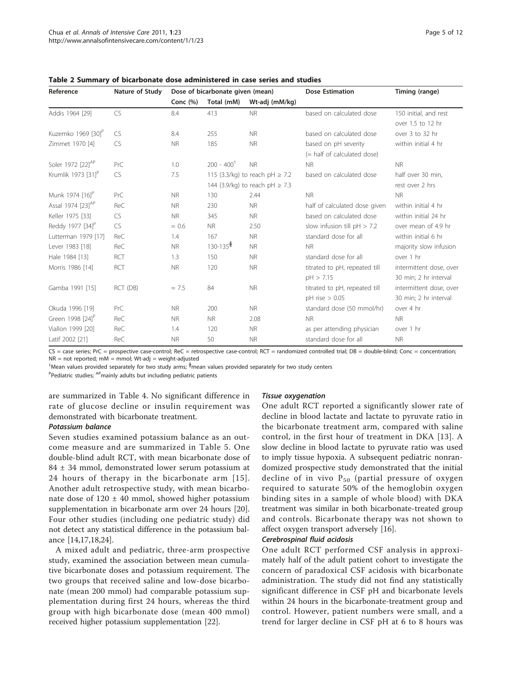| Reference                      | Nature of Study |               | Dose of bicarbonate given (mean) |                                     | <b>Dose Estimation</b>              | Timing (range)          |  |
|--------------------------------|-----------------|---------------|----------------------------------|-------------------------------------|-------------------------------------|-------------------------|--|
|                                |                 | Conc $(% )$   | Total (mM)                       | Wt-adj (mM/kg)                      |                                     |                         |  |
| Addis 1964 [29]                | <b>CS</b>       | 8.4           | 413                              | <b>NR</b>                           | based on calculated dose            | 150 initial, and rest   |  |
|                                |                 |               |                                  |                                     |                                     | over 1.5 to 12 hr       |  |
| Kuzemko 1969 [30] <sup>P</sup> | CS              | 8.4           | 255                              | <b>NR</b>                           | based on calculated dose            | over 3 to 32 hr         |  |
| Zimmet 1970 [4]                | CS              | <b>NR</b>     | 185                              | <b>NR</b>                           | based on pH severity                | within initial 4 hr     |  |
|                                |                 |               |                                  |                                     | $(\approx$ half of calculated dose) |                         |  |
| Soler 1972 [22] <sup>AP</sup>  | PrC             | 1.0           | $200 - 400^{\dagger}$            | <b>NR</b>                           | <b>NR</b>                           | <b>NR</b>               |  |
| Krumlik 1973 [31] <sup>P</sup> | <b>CS</b>       | 7.5           |                                  | 115 (3.3/kg) to reach pH $\geq$ 7.2 | based on calculated dose            | half over 30 min,       |  |
|                                |                 |               |                                  | 144 (3.9/kg) to reach pH $\geq$ 7.3 |                                     | rest over 2 hrs         |  |
| Munk 1974 [16] <sup>P</sup>    | PrC             | <b>NR</b>     | 130                              | 2.44                                | <b>NR</b>                           | <b>NR</b>               |  |
| Assal 1974 [23] <sup>AP</sup>  | ReC             | <b>NR</b>     | 230                              | <b>NR</b>                           | half of calculated dose given       | within initial 4 hr     |  |
| Keller 1975 [33]               | <b>CS</b>       | <b>NR</b>     | 345                              | <b>NR</b>                           | based on calculated dose            | within initial 24 hr    |  |
| Reddy 1977 [34] <sup>P</sup>   | <b>CS</b>       | $\approx 0.6$ | <b>NR</b>                        | 2.50                                | slow infusion till $pH > 7.2$       | over mean of 4.9 hr     |  |
| Lutterman 1979 [17]            | ReC             | 1.4           | 167                              | <b>NR</b>                           | standard dose for all               | within initial 6 hr     |  |
| Lever 1983 [18]                | ReC             | <b>NR</b>     | $130 - 135$ <sup>#</sup>         | <b>NR</b>                           | <b>NR</b>                           | majority slow infusion  |  |
| Hale 1984 [13]                 | RCT             | 1.3           | 150                              | <b>NR</b>                           | standard dose for all               | over 1 hr               |  |
| Morris 1986 [14]               | RCT             | <b>NR</b>     | 120                              | <b>NR</b>                           | titrated to pH, repeated till       | intermittent dose, over |  |
|                                |                 |               |                                  |                                     | pH > 7.15                           | 30 min; 2 hr interval   |  |
| Gamba 1991 [15]                | RCT (DB)        | $\approx$ 7.5 | 84                               | <b>NR</b>                           | titrated to pH, repeated till       | intermittent dose, over |  |
|                                |                 |               |                                  |                                     | $pH$ rise $> 0.05$                  | 30 min; 2 hr interval   |  |
| Okuda 1996 [19]                | PrC             | <b>NR</b>     | 200                              | <b>NR</b>                           | standard dose (50 mmol/hr)          | over 4 hr               |  |
| Green 1998 [24] <sup>P</sup>   | ReC             | <b>NR</b>     | <b>NR</b>                        | 2.08                                | <b>NR</b>                           | <b>NR</b>               |  |
| Viallon 1999 [20]              | ReC             | 1.4           | 120                              | <b>NR</b>                           | as per attending physician          | over 1 hr               |  |
| Latif 2002 [21]                | ReC             | <b>NR</b>     | 50                               | <b>NR</b>                           | standard dose for all               | <b>NR</b>               |  |

<span id="page-4-0"></span>Table 2 Summary of bicarbonate dose administered in case series and studies

CS = case series; PrC = prospective case-control; ReC = retrospective case-control; RCT = randomized controlled trial; DB = double-blind; Conc = concentration;  $NR = not reported; mM = mmol; Wt-adj = weight-adjustec$ 

 $^\dagger$ Mean values provided separately for two study arms;  $^\dagger$ mean values provided separately for two study centers

<sup>P</sup>Pediatric studies; <sup>AP</sup>mainly adults but including pediatric patients

Potassium balance

ance [[14,17,18,24](#page-11-0)].

are summarized in Table [4](#page-6-0). No significant difference in rate of glucose decline or insulin requirement was demonstrated with bicarbonate treatment.

Seven studies examined potassium balance as an outcome measure and are summarized in Table [5](#page-7-0). One double-blind adult RCT, with mean bicarbonate dose of 84 ± 34 mmol, demonstrated lower serum potassium at 24 hours of therapy in the bicarbonate arm [[15\]](#page-11-0). Another adult retrospective study, with mean bicarbonate dose of  $120 \pm 40$  mmol, showed higher potassium supplementation in bicarbonate arm over 24 hours [\[20](#page-11-0)]. Four other studies (including one pediatric study) did not detect any statistical difference in the potassium bal-

A mixed adult and pediatric, three-arm prospective study, examined the association between mean cumulative bicarbonate doses and potassium requirement. The two groups that received saline and low-dose bicarbonate (mean 200 mmol) had comparable potassium supplementation during first 24 hours, whereas the third group with high bicarbonate dose (mean 400 mmol)

received higher potassium supplementation [\[22\]](#page-11-0).

# Tissue oxygenation

One adult RCT reported a significantly slower rate of decline in blood lactate and lactate to pyruvate ratio in the bicarbonate treatment arm, compared with saline control, in the first hour of treatment in DKA [[13](#page-11-0)]. A slow decline in blood lactate to pyruvate ratio was used to imply tissue hypoxia. A subsequent pediatric nonrandomized prospective study demonstrated that the initial decline of in vivo  $P_{50}$  (partial pressure of oxygen required to saturate 50% of the hemoglobin oxygen binding sites in a sample of whole blood) with DKA treatment was similar in both bicarbonate-treated group and controls. Bicarbonate therapy was not shown to affect oxygen transport adversely [\[16\]](#page-11-0).

#### Cerebrospinal fluid acidosis

One adult RCT performed CSF analysis in approximately half of the adult patient cohort to investigate the concern of paradoxical CSF acidosis with bicarbonate administration. The study did not find any statistically significant difference in CSF pH and bicarbonate levels within 24 hours in the bicarbonate-treatment group and control. However, patient numbers were small, and a trend for larger decline in CSF pH at 6 to 8 hours was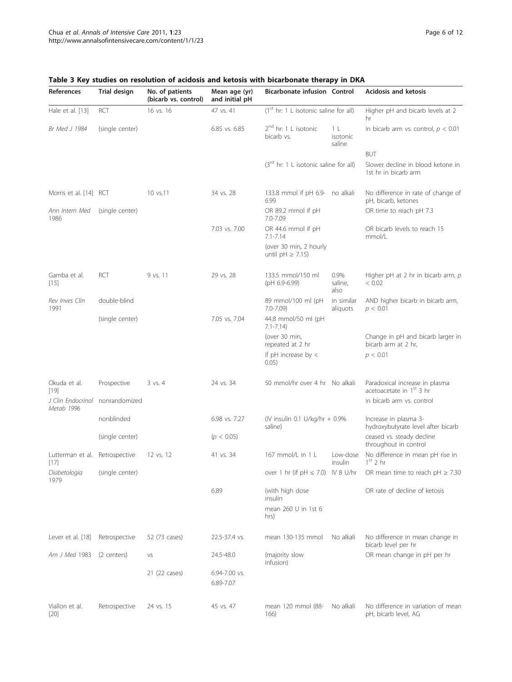| <b>References</b>                      | <b>Trial design</b> | No. of patients<br>(bicarb vs. control) | Mean age (yr)<br>and initial pH | <b>Bicarbonate infusion Control</b>             |                                      | Acidosis and ketosis                                                   |
|----------------------------------------|---------------------|-----------------------------------------|---------------------------------|-------------------------------------------------|--------------------------------------|------------------------------------------------------------------------|
| Hale et al. [13]                       | RCT                 | 16 vs. 16                               | 47 vs. 41                       | $(1st hr: 1 L isotonic saline for all)$         |                                      | Higher pH and bicarb levels at 2<br>hr                                 |
| Br Med J 1984                          | (single center)     |                                         | 6.85 vs. 6.85                   | 2 <sup>nd</sup> hr: 1 L isotonic<br>bicarb vs.  | 1 <sub>L</sub><br>isotonic<br>saline | in bicarb arm vs. control, $p < 0.01$                                  |
|                                        |                     |                                         |                                 | $(3rd$ hr: 1 L isotonic saline for all)         |                                      | BUT<br>Slower decline in blood ketone in<br>1st hr in bicarb arm       |
| Morris et al. [14] RCT                 |                     | 10 vs.11                                | 34 vs. 28                       | 133.8 mmol if pH 6.9- no alkali<br>6.99         |                                      | No difference in rate of change of<br>pH, bicarb, ketones              |
| Ann Intern Med<br>1986                 | (single center)     |                                         |                                 | OR 89.2 mmol if pH<br>7.0-7.09                  |                                      | OR time to reach pH 7.3                                                |
|                                        |                     |                                         | 7.03 vs. 7.00                   | OR 44.6 mmol if pH<br>$7.1 - 7.14$              |                                      | OR bicarb levels to reach 15<br>mmol/L                                 |
|                                        |                     |                                         |                                 | (over 30 min, 2 hourly<br>until $pH \ge 7.15$ ) |                                      |                                                                        |
| Gamba et al.<br>$[15]$                 | RCT                 | 9 vs. 11                                | 29 vs. 28                       | 133.5 mmol/150 ml<br>(pH 6.9-6.99)              | 0.9%<br>saline,<br>also              | Higher pH at 2 hr in bicarb arm, $p$<br>< 0.02                         |
| Rev Inves Clin<br>1991                 | double-blind        |                                         |                                 | 89 mmol/100 ml (pH<br>$7.0 - 7.09$              | in similar<br>aliquots               | AND higher bicarb in bicarb arm,<br>p < 0.01                           |
|                                        | (single center)     |                                         | 7.05 vs. 7.04                   | 44.8 mmol/50 ml (pH<br>$7.1 - 7.14$             |                                      |                                                                        |
|                                        |                     |                                         |                                 | (over 30 min,<br>repeated at 2 hr               |                                      | Change in pH and bicarb larger in<br>bicarb arm at 2 hr,               |
|                                        |                     |                                         |                                 | if $pH$ increase by $<$<br>0.05)                |                                      | p < 0.01                                                               |
| Okuda et al.<br>$[19]$                 | Prospective         | 3 vs. 4                                 | 24 vs. 34                       | 50 mmol/hr over 4 hr No alkali                  |                                      | Paradoxical increase in plasma<br>acetoacetate in 1 <sup>st</sup> 3 hr |
| J Clin Endocrinol<br>Metab 1996        | nonrandomized       |                                         |                                 |                                                 |                                      | in bicarb arm vs. control                                              |
|                                        | nonblinded          |                                         | 6.98 vs. 7.27                   | (IV insulin 0.1 U/kg/hr + 0.9%<br>saline)       |                                      | Increase in plasma 3-<br>hydroxybutyrate level after bicarb            |
|                                        | (single center)     |                                         | (p < 0.05)                      |                                                 |                                      | ceased vs. steady decline<br>throughout in control                     |
| Lutterman et al. Retrospective<br>[17] |                     | 12 vs. 12                               | 41 vs. 34                       | 167 mmol/L in 1 L                               | Low-dose<br>insulin                  | No difference in mean pH rise in<br>$1st$ 2 hr                         |
| Diabetologia<br>1979                   | (single center)     |                                         |                                 | over 1 hr (if $pH \le 7.0$ ) IV 8 U/hr          |                                      | OR mean time to reach $pH \ge 7.30$                                    |
|                                        |                     |                                         | 6.89                            | (with high dose<br>insulin                      |                                      | OR rate of decline of ketosis                                          |
|                                        |                     |                                         |                                 | mean 260 U in 1st 6<br>hrs)                     |                                      |                                                                        |
| Lever et al. [18]                      | Retrospective       | 52 (73 cases)                           | 22.5-37.4 vs.                   | mean 130-135 mmol                               | No alkali                            | No difference in mean change in<br>bicarb level per hr                 |
| Am J Med 1983                          | (2 centers)         | VS                                      | 24.5-48.0                       | (majority slow<br>infusion)                     |                                      | OR mean change in pH per hr                                            |
|                                        |                     | 21 (22 cases)                           | 6.94-7.00 vs.<br>6.89-7.07      |                                                 |                                      |                                                                        |
| Viallon et al.<br>$[20]$               | Retrospective       | 24 vs. 15                               | 45 vs. 47                       | mean 120 mmol (88-<br>166)                      | No alkali                            | No difference in variation of mean<br>pH, bicarb level, AG             |

# <span id="page-5-0"></span>Table 3 Key studies on resolution of acidosis and ketosis with bicarbonate therapy in DKA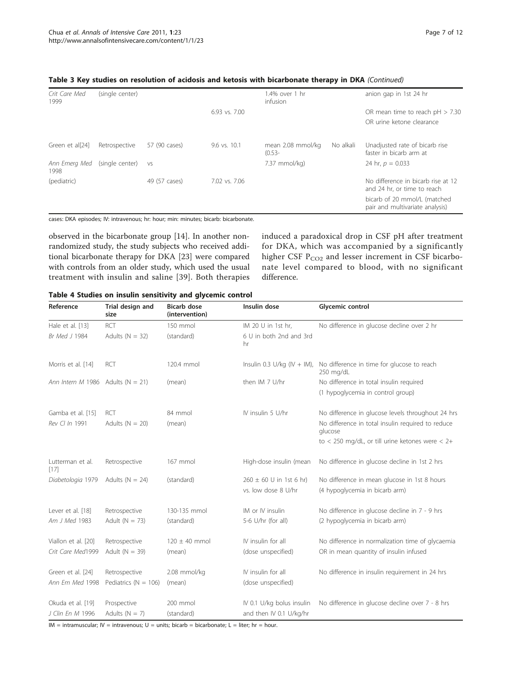| Crit Care Med<br>1999 | (single center) |               |               | 1.4% over 1 hr<br>infusion     |           | anion gap in 1st 24 hr                                            |
|-----------------------|-----------------|---------------|---------------|--------------------------------|-----------|-------------------------------------------------------------------|
|                       |                 |               | 6.93 vs. 7.00 |                                |           | OR mean time to reach $pH > 7.30$<br>OR urine ketone clearance    |
| Green et al[24]       | Retrospective   | 57 (90 cases) | 9.6 vs. 10.1  | mean 2.08 mmol/kg<br>$(0.53 -$ | No alkali | Unadjusted rate of bicarb rise<br>faster in bicarb arm at         |
| Ann Emerg Med<br>1998 | (single center) | <b>VS</b>     |               | 7.37 mmol/kg)                  |           | 24 hr, $p = 0.033$                                                |
| (pediatric)           |                 | 49 (57 cases) | 7.02 vs. 7.06 |                                |           | No difference in bicarb rise at 12<br>and 24 hr, or time to reach |
|                       |                 |               |               |                                |           | bicarb of 20 mmol/L (matched<br>pair and multivariate analysis)   |

# <span id="page-6-0"></span>Table 3 Key studies on resolution of acidosis and ketosis with bicarbonate therapy in DKA (Continued)

cases: DKA episodes; IV: intravenous; hr: hour; min: minutes; bicarb: bicarbonate.

observed in the bicarbonate group [[14](#page-11-0)]. In another nonrandomized study, the study subjects who received additional bicarbonate therapy for DKA [[23\]](#page-11-0) were compared with controls from an older study, which used the usual treatment with insulin and saline [[39\]](#page-11-0). Both therapies induced a paradoxical drop in CSF pH after treatment for DKA, which was accompanied by a significantly higher CSF  $P_{CO2}$  and lesser increment in CSF bicarbonate level compared to blood, with no significant difference.

#### Table 4 Studies on insulin sensitivity and glycemic control

| Reference                             | Trial design and<br>size | <b>Bicarb dose</b><br>(intervention) | Insulin dose                  | Glycemic control                                             |
|---------------------------------------|--------------------------|--------------------------------------|-------------------------------|--------------------------------------------------------------|
| Hale et al. [13]                      | <b>RCT</b>               | 150 mmol                             | IM 20 U in 1st hr.            | No difference in glucose decline over 2 hr                   |
| Br Med J 1984                         | Adults ( $N = 32$ )      | (standard)                           | 6 U in both 2nd and 3rd<br>hr |                                                              |
| Morris et al. [14]                    | <b>RCT</b>               | 120.4 mmol                           | Insulin 0.3 U/kg (IV + IM),   | No difference in time for glucose to reach<br>250 mg/dL      |
| Ann Intern M 1986 Adults ( $N = 21$ ) |                          | (mean)                               | then IM 7 U/hr                | No difference in total insulin required                      |
|                                       |                          |                                      |                               | (1 hypoglycemia in control group)                            |
| Gamba et al. [15]                     | <b>RCT</b>               | 84 mmol                              | IV insulin 5 U/hr             | No difference in glucose levels throughout 24 hrs            |
| Rev Cl In 1991                        | Adults ( $N = 20$ )      | (mean)                               |                               | No difference in total insulin required to reduce<br>glucose |
|                                       |                          |                                      |                               | to < 250 mg/dL, or till urine ketones were < $2+$            |
| Lutterman et al.<br>$[17]$            | Retrospective            | 167 mmol                             | High-dose insulin (mean       | No difference in glucose decline in 1st 2 hrs                |
| Diabetologia 1979                     | Adults ( $N = 24$ )      | (standard)                           | $260 \pm 60$ U in 1st 6 hr)   | No difference in mean glucose in 1st 8 hours                 |
|                                       |                          |                                      | vs. low dose 8 U/hr           | (4 hypoglycemia in bicarb arm)                               |
| Lever et al. [18]                     | Retrospective            | 130-135 mmol                         | IM or IV insulin              | No difference in glucose decline in 7 - 9 hrs                |
| Am J Med 1983                         | Adult $(N = 73)$         | (standard)                           | 5-6 U/hr (for all)            | (2 hypoglycemia in bicarb arm)                               |
| Viallon et al. [20]                   | Retrospective            | $120 \pm 40$ mmol                    | IV insulin for all            | No difference in normalization time of glycaemia             |
| Crit Care Med1999                     | Adult ( $N = 39$ )       | (mean)                               | (dose unspecified)            | OR in mean quantity of insulin infused                       |
| Green et al. [24]                     | Retrospective            | 2.08 mmol/kg                         | IV insulin for all            | No difference in insulin requirement in 24 hrs               |
| Ann Em Med 1998                       | Pediatrics ( $N = 106$ ) | (mean)                               | (dose unspecified)            |                                                              |
| Okuda et al. [19]                     | Prospective              | 200 mmol                             | IV 0.1 U/kg bolus insulin     | No difference in glucose decline over 7 - 8 hrs              |
| J Clin En M 1996                      | Adults ( $N = 7$ )       | (standard)                           | and then IV 0.1 U/kg/hr       |                                                              |

 $IM = intramuscular; IV = intravenous; U = units; bicarb = bicarbonate; L = liter; hr = hour.$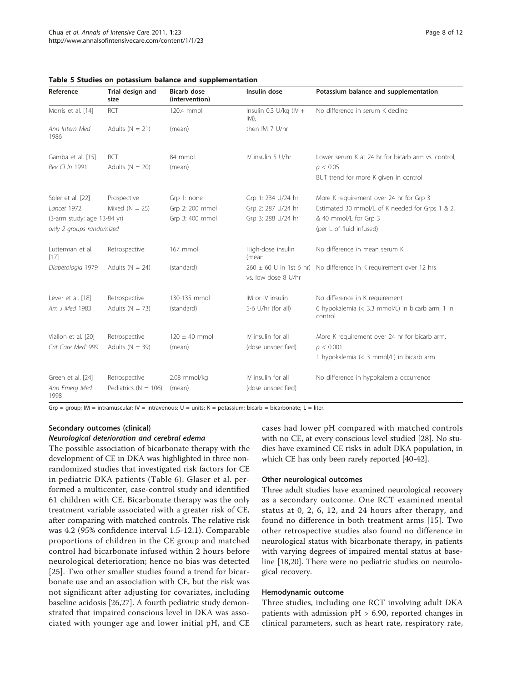| Reference                   | Trial design and<br>size | <b>Bicarb dose</b><br>(intervention) | Insulin dose                      | Potassium balance and supplementation                                  |
|-----------------------------|--------------------------|--------------------------------------|-----------------------------------|------------------------------------------------------------------------|
| Morris et al. [14]          | <b>RCT</b>               | 120.4 mmol                           | Insulin 0.3 U/kg (IV +<br>$IM)$ , | No difference in serum K decline                                       |
| Ann Intern Med<br>1986      | Adults ( $N = 21$ )      | (mean)                               | then IM 7 U/hr                    |                                                                        |
| Gamba et al. [15]           | <b>RCT</b>               | 84 mmol                              | IV insulin 5 U/hr                 | Lower serum K at 24 hr for bicarb arm vs. control,                     |
| Rev CI In 1991              | Adults ( $N = 20$ )      | (mean)                               |                                   | p < 0.05                                                               |
|                             |                          |                                      |                                   | BUT trend for more K given in control                                  |
| Soler et al. [22]           | Prospective              | Grp 1: none                          | Grp 1: 234 U/24 hr                | More K requirement over 24 hr for Grp 3                                |
| Lancet 1972                 | Mixed ( $N = 25$ )       | Grp 2: 200 mmol                      | Grp 2: 287 U/24 hr                | Estimated 30 mmol/L of K needed for Grps 1 & 2,                        |
| (3-arm study; age 13-84 yr) |                          | Grp 3: 400 mmol                      | Grp 3: 288 U/24 hr                | & 40 mmol/L for Grp 3                                                  |
| only 2 groups randomized    |                          |                                      |                                   | (per L of fluid infused)                                               |
| Lutterman et al.<br>$[17]$  | Retrospective            | 167 mmol                             | High-dose insulin<br>(mean        | No difference in mean serum K                                          |
| Diabetologia 1979           | Adults ( $N = 24$ )      | (standard)                           |                                   | $260 \pm 60$ U in 1st 6 hr) No difference in K requirement over 12 hrs |
|                             |                          |                                      | vs. low dose 8 U/hr               |                                                                        |
| Lever et al. [18]           | Retrospective            | 130-135 mmol                         | IM or IV insulin                  | No difference in K requirement                                         |
| Am J Med 1983               | Adults ( $N = 73$ )      | (standard)                           | 5-6 U/hr (for all)                | 6 hypokalemia (< 3.3 mmol/L) in bicarb arm, 1 in<br>control            |
| Viallon et al. [20]         | Retrospective            | $120 \pm 40$ mmol                    | IV insulin for all                | More K requirement over 24 hr for bicarb arm,                          |
| Crit Care Med1999           | Adults ( $N = 39$ )      | (mean)                               | (dose unspecified)                | p < 0.001                                                              |
|                             |                          |                                      |                                   | 1 hypokalemia (< 3 mmol/L) in bicarb arm                               |
| Green et al. [24]           | Retrospective            | 2.08 mmol/kg                         | IV insulin for all                | No difference in hypokalemia occurrence                                |
| Ann Emerg Med<br>1998       | Pediatrics ( $N = 106$ ) | (mean)                               | (dose unspecified)                |                                                                        |

<span id="page-7-0"></span>

|  |  |  |  |  |  |  | Table 5 Studies on potassium balance and supplementation |
|--|--|--|--|--|--|--|----------------------------------------------------------|
|--|--|--|--|--|--|--|----------------------------------------------------------|

Grp = group; IM = intramuscular; IV = intravenous; U = units; K = potassium; bicarb = bicarbonate; L = liter.

# Secondary outcomes (clinical) Neurological deterioration and cerebral edema

The possible association of bicarbonate therapy with the development of CE in DKA was highlighted in three nonrandomized studies that investigated risk factors for CE in pediatric DKA patients (Table [6](#page-8-0)). Glaser et al. performed a multicenter, case-control study and identified 61 children with CE. Bicarbonate therapy was the only treatment variable associated with a greater risk of CE, after comparing with matched controls. The relative risk was 4.2 (95% confidence interval 1.5-12.1). Comparable proportions of children in the CE group and matched control had bicarbonate infused within 2 hours before neurological deterioration; hence no bias was detected [[25](#page-11-0)]. Two other smaller studies found a trend for bicarbonate use and an association with CE, but the risk was not significant after adjusting for covariates, including baseline acidosis [\[26,27\]](#page-11-0). A fourth pediatric study demonstrated that impaired conscious level in DKA was associated with younger age and lower initial pH, and CE cases had lower pH compared with matched controls with no CE, at every conscious level studied [[28](#page-11-0)]. No studies have examined CE risks in adult DKA population, in which CE has only been rarely reported [\[40-42](#page-11-0)].

#### Other neurological outcomes

Three adult studies have examined neurological recovery as a secondary outcome. One RCT examined mental status at 0, 2, 6, 12, and 24 hours after therapy, and found no difference in both treatment arms [\[15\]](#page-11-0). Two other retrospective studies also found no difference in neurological status with bicarbonate therapy, in patients with varying degrees of impaired mental status at baseline [[18,20\]](#page-11-0). There were no pediatric studies on neurological recovery.

#### Hemodynamic outcome

Three studies, including one RCT involving adult DKA patients with admission  $pH > 6.90$ , reported changes in clinical parameters, such as heart rate, respiratory rate,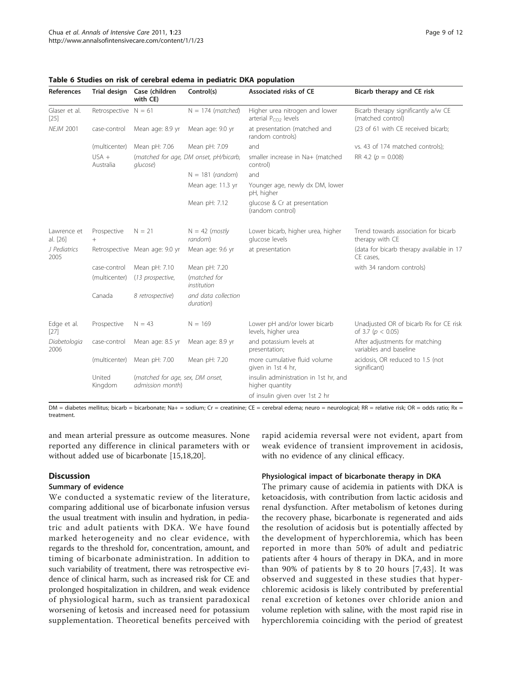| <b>References</b>       | Trial design           | Case (children<br>with CE)                           | Control(s)                             | Associated risks of CE                                      | Bicarb therapy and CE risk                                      |
|-------------------------|------------------------|------------------------------------------------------|----------------------------------------|-------------------------------------------------------------|-----------------------------------------------------------------|
| Glaser et al.<br>$[25]$ | Retrospective $N = 61$ |                                                      | $N = 174$ (matched)                    | Higher urea nitrogen and lower<br>arterial $P_{CO2}$ levels | Bicarb therapy significantly a/w CE<br>(matched control)        |
| <b>NEJM 2001</b>        | case-control           | Mean age: 8.9 yr                                     | Mean age: 9.0 yr                       | at presentation (matched and<br>random controls)            | (23 of 61 with CE received bicarb;                              |
|                         | (multicenter)          | Mean pH: 7.06                                        | Mean pH: 7.09                          | and                                                         | vs. 43 of 174 matched controls):                                |
|                         | $USA +$<br>Australia   | glucose)                                             | (matched for age, DM onset, pH/bicarb, | smaller increase in Na+ (matched<br>control)                | RR 4.2 ( $p = 0.008$ )                                          |
|                         |                        |                                                      | $N = 181$ (random)                     | and                                                         |                                                                 |
|                         |                        |                                                      | Mean age: 11.3 yr                      | Younger age, newly dx DM, lower<br>pH, higher               |                                                                 |
|                         |                        |                                                      | Mean pH: 7.12                          | glucose & Cr at presentation<br>(random control)            |                                                                 |
| Lawrence et<br>al. [26] | Prospective<br>$+$     | $N = 21$                                             | $N = 42$ (mostly<br>random)            | Lower bicarb, higher urea, higher<br>glucose levels         | Trend towards association for bicarb<br>therapy with CE         |
| J Pediatrics<br>2005    |                        | Retrospective Mean age: 9.0 yr                       | Mean age: 9.6 yr                       | at presentation                                             | (data for bicarb therapy available in 17<br>CE cases.           |
|                         | case-control           | Mean pH: 7.10                                        | Mean pH: 7.20                          |                                                             | with 34 random controls)                                        |
|                         | (multicenter)          | (13 prospective,                                     | (matched for<br>institution            |                                                             |                                                                 |
|                         | Canada                 | 8 retrospective)                                     | and data collection<br>duration)       |                                                             |                                                                 |
| Edge et al.<br>$[27]$   | Prospective            | $N = 43$                                             | $N = 169$                              | Lower pH and/or lower bicarb<br>levels, higher urea         | Unadjusted OR of bicarb Rx for CE risk<br>of 3.7 ( $p < 0.05$ ) |
| Diabetologia<br>2006    | case-control           | Mean age: 8.5 yr                                     | Mean age: 8.9 yr                       | and potassium levels at<br>presentation;                    | After adjustments for matching<br>variables and baseline        |
|                         | (multicenter)          | Mean pH: 7.00                                        | Mean pH: 7.20                          | more cumulative fluid volume<br>given in 1st 4 hr,          | acidosis, OR reduced to 1.5 (not<br>significant)                |
|                         | United<br>Kingdom      | (matched for age, sex, DM onset,<br>admission month) |                                        | insulin administration in 1st hr, and<br>higher quantity    |                                                                 |
|                         |                        |                                                      |                                        | of insulin given over 1st 2 hr                              |                                                                 |

<span id="page-8-0"></span>Table 6 Studies on risk of cerebral edema in pediatric DKA population

 $DM =$  diabetes mellitus; bicarb = bicarbonate; Na+ = sodium; Cr = creatinine; CE = cerebral edema; neuro = neurological; RR = relative risk; OR = odds ratio; Rx = treatment.

and mean arterial pressure as outcome measures. None reported any difference in clinical parameters with or without added use of bicarbonate [[15,18,20](#page-11-0)].

#### **Discussion**

#### Summary of evidence

We conducted a systematic review of the literature, comparing additional use of bicarbonate infusion versus the usual treatment with insulin and hydration, in pediatric and adult patients with DKA. We have found marked heterogeneity and no clear evidence, with regards to the threshold for, concentration, amount, and timing of bicarbonate administration. In addition to such variability of treatment, there was retrospective evidence of clinical harm, such as increased risk for CE and prolonged hospitalization in children, and weak evidence of physiological harm, such as transient paradoxical worsening of ketosis and increased need for potassium supplementation. Theoretical benefits perceived with

rapid acidemia reversal were not evident, apart from weak evidence of transient improvement in acidosis, with no evidence of any clinical efficacy.

#### Physiological impact of bicarbonate therapy in DKA

The primary cause of acidemia in patients with DKA is ketoacidosis, with contribution from lactic acidosis and renal dysfunction. After metabolism of ketones during the recovery phase, bicarbonate is regenerated and aids the resolution of acidosis but is potentially affected by the development of hyperchloremia, which has been reported in more than 50% of adult and pediatric patients after 4 hours of therapy in DKA, and in more than 90% of patients by 8 to 20 hours [[7,43](#page-11-0)]. It was observed and suggested in these studies that hyperchloremic acidosis is likely contributed by preferential renal excretion of ketones over chloride anion and volume repletion with saline, with the most rapid rise in hyperchloremia coinciding with the period of greatest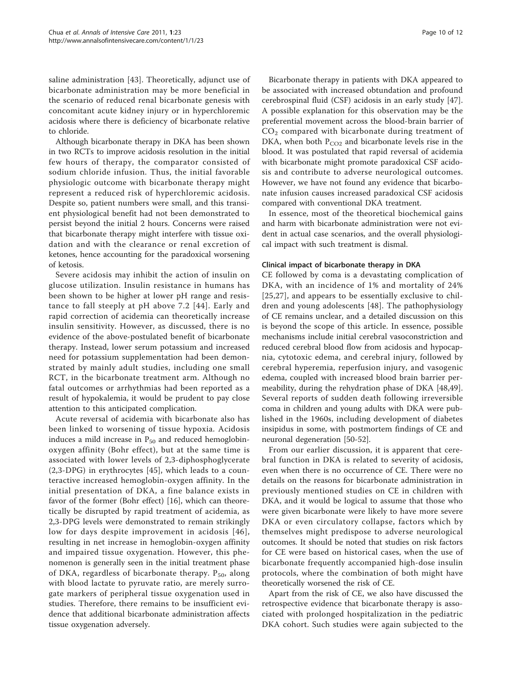saline administration [\[43](#page-11-0)]. Theoretically, adjunct use of bicarbonate administration may be more beneficial in the scenario of reduced renal bicarbonate genesis with concomitant acute kidney injury or in hyperchloremic acidosis where there is deficiency of bicarbonate relative to chloride.

Although bicarbonate therapy in DKA has been shown in two RCTs to improve acidosis resolution in the initial few hours of therapy, the comparator consisted of sodium chloride infusion. Thus, the initial favorable physiologic outcome with bicarbonate therapy might represent a reduced risk of hyperchloremic acidosis. Despite so, patient numbers were small, and this transient physiological benefit had not been demonstrated to persist beyond the initial 2 hours. Concerns were raised that bicarbonate therapy might interfere with tissue oxidation and with the clearance or renal excretion of ketones, hence accounting for the paradoxical worsening of ketosis.

Severe acidosis may inhibit the action of insulin on glucose utilization. Insulin resistance in humans has been shown to be higher at lower pH range and resistance to fall steeply at pH above 7.2 [[44\]](#page-11-0). Early and rapid correction of acidemia can theoretically increase insulin sensitivity. However, as discussed, there is no evidence of the above-postulated benefit of bicarbonate therapy. Instead, lower serum potassium and increased need for potassium supplementation had been demonstrated by mainly adult studies, including one small RCT, in the bicarbonate treatment arm. Although no fatal outcomes or arrhythmias had been reported as a result of hypokalemia, it would be prudent to pay close attention to this anticipated complication.

Acute reversal of acidemia with bicarbonate also has been linked to worsening of tissue hypoxia. Acidosis induces a mild increase in  $P_{50}$  and reduced hemoglobinoxygen affinity (Bohr effect), but at the same time is associated with lower levels of 2,3-diphosphoglycerate (2,3-DPG) in erythrocytes [[45\]](#page-11-0), which leads to a counteractive increased hemoglobin-oxygen affinity. In the initial presentation of DKA, a fine balance exists in favor of the former (Bohr effect) [\[16](#page-11-0)], which can theoretically be disrupted by rapid treatment of acidemia, as 2,3-DPG levels were demonstrated to remain strikingly low for days despite improvement in acidosis [[46\]](#page-11-0), resulting in net increase in hemoglobin-oxygen affinity and impaired tissue oxygenation. However, this phenomenon is generally seen in the initial treatment phase of DKA, regardless of bicarbonate therapy.  $P_{50}$ , along with blood lactate to pyruvate ratio, are merely surrogate markers of peripheral tissue oxygenation used in studies. Therefore, there remains to be insufficient evidence that additional bicarbonate administration affects tissue oxygenation adversely.

Bicarbonate therapy in patients with DKA appeared to be associated with increased obtundation and profound cerebrospinal fluid (CSF) acidosis in an early study [\[47](#page-11-0)]. A possible explanation for this observation may be the preferential movement across the blood-brain barrier of  $CO<sub>2</sub>$  compared with bicarbonate during treatment of DKA, when both  $P_{CO2}$  and bicarbonate levels rise in the blood. It was postulated that rapid reversal of acidemia with bicarbonate might promote paradoxical CSF acidosis and contribute to adverse neurological outcomes. However, we have not found any evidence that bicarbonate infusion causes increased paradoxical CSF acidosis compared with conventional DKA treatment.

In essence, most of the theoretical biochemical gains and harm with bicarbonate administration were not evident in actual case scenarios, and the overall physiological impact with such treatment is dismal.

#### Clinical impact of bicarbonate therapy in DKA

CE followed by coma is a devastating complication of DKA, with an incidence of 1% and mortality of 24% [[25,27\]](#page-11-0), and appears to be essentially exclusive to children and young adolescents [[48\]](#page-11-0). The pathophysiology of CE remains unclear, and a detailed discussion on this is beyond the scope of this article. In essence, possible mechanisms include initial cerebral vasoconstriction and reduced cerebral blood flow from acidosis and hypocapnia, cytotoxic edema, and cerebral injury, followed by cerebral hyperemia, reperfusion injury, and vasogenic edema, coupled with increased blood brain barrier permeability, during the rehydration phase of DKA [\[48,49](#page-11-0)]. Several reports of sudden death following irreversible coma in children and young adults with DKA were published in the 1960s, including development of diabetes insipidus in some, with postmortem findings of CE and neuronal degeneration [\[50-52](#page-11-0)].

From our earlier discussion, it is apparent that cerebral function in DKA is related to severity of acidosis, even when there is no occurrence of CE. There were no details on the reasons for bicarbonate administration in previously mentioned studies on CE in children with DKA, and it would be logical to assume that those who were given bicarbonate were likely to have more severe DKA or even circulatory collapse, factors which by themselves might predispose to adverse neurological outcomes. It should be noted that studies on risk factors for CE were based on historical cases, when the use of bicarbonate frequently accompanied high-dose insulin protocols, where the combination of both might have theoretically worsened the risk of CE.

Apart from the risk of CE, we also have discussed the retrospective evidence that bicarbonate therapy is associated with prolonged hospitalization in the pediatric DKA cohort. Such studies were again subjected to the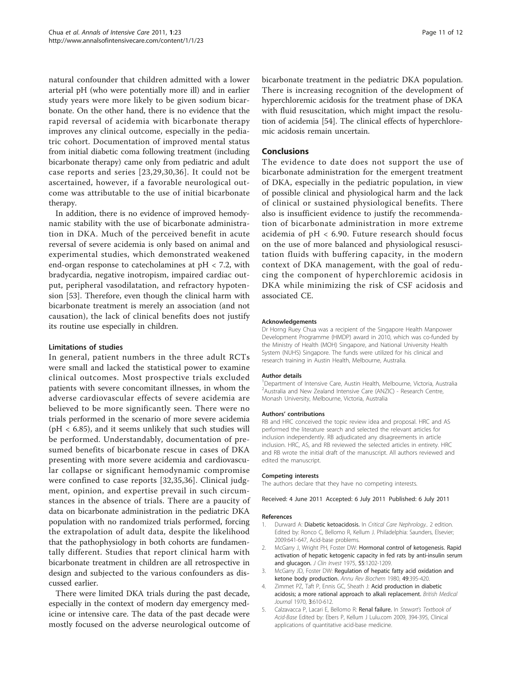<span id="page-10-0"></span>natural confounder that children admitted with a lower arterial pH (who were potentially more ill) and in earlier study years were more likely to be given sodium bicarbonate. On the other hand, there is no evidence that the rapid reversal of acidemia with bicarbonate therapy improves any clinical outcome, especially in the pediatric cohort. Documentation of improved mental status from initial diabetic coma following treatment (including bicarbonate therapy) came only from pediatric and adult case reports and series [[23](#page-11-0),[29](#page-11-0),[30](#page-11-0),[36](#page-11-0)]. It could not be ascertained, however, if a favorable neurological outcome was attributable to the use of initial bicarbonate therapy.

In addition, there is no evidence of improved hemodynamic stability with the use of bicarbonate administration in DKA. Much of the perceived benefit in acute reversal of severe acidemia is only based on animal and experimental studies, which demonstrated weakened end-organ response to catecholamines at pH < 7.2, with bradycardia, negative inotropism, impaired cardiac output, peripheral vasodilatation, and refractory hypotension [\[53\]](#page-11-0). Therefore, even though the clinical harm with bicarbonate treatment is merely an association (and not causation), the lack of clinical benefits does not justify its routine use especially in children.

#### Limitations of studies

In general, patient numbers in the three adult RCTs were small and lacked the statistical power to examine clinical outcomes. Most prospective trials excluded patients with severe concomitant illnesses, in whom the adverse cardiovascular effects of severe acidemia are believed to be more significantly seen. There were no trials performed in the scenario of more severe acidemia ( $pH < 6.85$ ), and it seems unlikely that such studies will be performed. Understandably, documentation of presumed benefits of bicarbonate rescue in cases of DKA presenting with more severe acidemia and cardiovascular collapse or significant hemodynamic compromise were confined to case reports [\[32](#page-11-0),[35,36](#page-11-0)]. Clinical judgment, opinion, and expertise prevail in such circumstances in the absence of trials. There are a paucity of data on bicarbonate administration in the pediatric DKA population with no randomized trials performed, forcing the extrapolation of adult data, despite the likelihood that the pathophysiology in both cohorts are fundamentally different. Studies that report clinical harm with bicarbonate treatment in children are all retrospective in design and subjected to the various confounders as discussed earlier.

There were limited DKA trials during the past decade, especially in the context of modern day emergency medicine or intensive care. The data of the past decade were mostly focused on the adverse neurological outcome of bicarbonate treatment in the pediatric DKA population. There is increasing recognition of the development of hyperchloremic acidosis for the treatment phase of DKA with fluid resuscitation, which might impact the resolution of acidemia [\[54](#page-11-0)]. The clinical effects of hyperchloremic acidosis remain uncertain.

# **Conclusions**

The evidence to date does not support the use of bicarbonate administration for the emergent treatment of DKA, especially in the pediatric population, in view of possible clinical and physiological harm and the lack of clinical or sustained physiological benefits. There also is insufficient evidence to justify the recommendation of bicarbonate administration in more extreme acidemia of pH < 6.90. Future research should focus on the use of more balanced and physiological resuscitation fluids with buffering capacity, in the modern context of DKA management, with the goal of reducing the component of hyperchloremic acidosis in DKA while minimizing the risk of CSF acidosis and associated CE.

#### Acknowledgements

Dr Horng Ruey Chua was a recipient of the Singapore Health Manpower Development Programme (HMDP) award in 2010, which was co-funded by the Ministry of Health (MOH) Singapore, and National University Health System (NUHS) Singapore. The funds were utilized for his clinical and research training in Austin Health, Melbourne, Australia.

#### Author details

<sup>1</sup>Department of Intensive Care, Austin Health, Melbourne, Victoria, Australia <sup>2</sup> Australia and New Zealand Intensive Care (ANZIC) - Research Centre, Monash University, Melbourne, Victoria, Australia

#### Authors' contributions

RB and HRC conceived the topic review idea and proposal. HRC and AS performed the literature search and selected the relevant articles for inclusion independently. RB adjudicated any disagreements in article inclusion. HRC, AS, and RB reviewed the selected articles in entirety. HRC and RB wrote the initial draft of the manuscript. All authors reviewed and edited the manuscript.

#### Competing interests

The authors declare that they have no competing interests.

Received: 4 June 2011 Accepted: 6 July 2011 Published: 6 July 2011

#### References

- Durward A: Diabetic ketoacidosis. In Critical Care Nephrology.. 2 edition. Edited by: Ronco C, Bellomo R, Kellum J. Philadelphia: Saunders, Elsevier; 2009:641-647, Acid-base problems.
- 2. McGarry J, Wright PH, Foster DW: [Hormonal control of ketogenesis. Rapid](http://www.ncbi.nlm.nih.gov/pubmed/1133169?dopt=Abstract) [activation of hepatic ketogenic capacity in fed rats by anti-insulin serum](http://www.ncbi.nlm.nih.gov/pubmed/1133169?dopt=Abstract) [and glucagon.](http://www.ncbi.nlm.nih.gov/pubmed/1133169?dopt=Abstract) J Clin Invest 1975, 55:1202-1209.
- 3. McGarry JD, Foster DW: [Regulation of hepatic fatty acid oxidation and](http://www.ncbi.nlm.nih.gov/pubmed/6157353?dopt=Abstract) [ketone body production.](http://www.ncbi.nlm.nih.gov/pubmed/6157353?dopt=Abstract) Annu Rev Biochem 1980, 49:395-420.
- 4. Zimmet PZ, Taft P, Ennis GC, Sheath J: [Acid production in diabetic](http://www.ncbi.nlm.nih.gov/pubmed/4990378?dopt=Abstract) [acidosis; a more rational approach to alkali replacement.](http://www.ncbi.nlm.nih.gov/pubmed/4990378?dopt=Abstract) British Medical Journal 1970, 3:610-612.
- 5. Calzavacca P, Lacari E, Bellomo R: [Renal failure.](http://www.ncbi.nlm.nih.gov/pubmed/21738524?dopt=Abstract) In Stewart's Textbook of Acid-Base Edited by: Ebers P, Kellum J Lulu.com 2009, 394-395, Clinical applications of quantitative acid-base medicine.